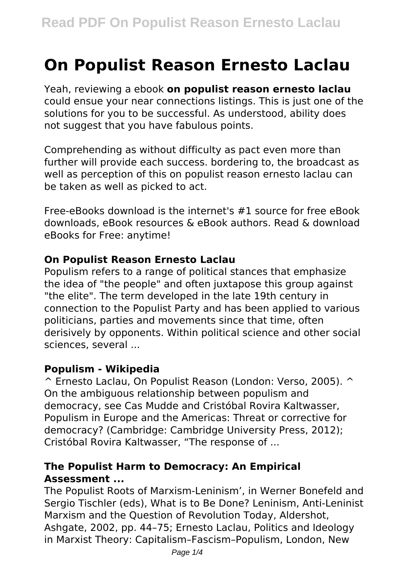# **On Populist Reason Ernesto Laclau**

Yeah, reviewing a ebook **on populist reason ernesto laclau** could ensue your near connections listings. This is just one of the solutions for you to be successful. As understood, ability does not suggest that you have fabulous points.

Comprehending as without difficulty as pact even more than further will provide each success. bordering to, the broadcast as well as perception of this on populist reason ernesto laclau can be taken as well as picked to act.

Free-eBooks download is the internet's #1 source for free eBook downloads, eBook resources & eBook authors. Read & download eBooks for Free: anytime!

#### **On Populist Reason Ernesto Laclau**

Populism refers to a range of political stances that emphasize the idea of "the people" and often juxtapose this group against "the elite". The term developed in the late 19th century in connection to the Populist Party and has been applied to various politicians, parties and movements since that time, often derisively by opponents. Within political science and other social sciences, several ...

#### **Populism - Wikipedia**

^ Ernesto Laclau, On Populist Reason (London: Verso, 2005). ^ On the ambiguous relationship between populism and democracy, see Cas Mudde and Cristóbal Rovira Kaltwasser, Populism in Europe and the Americas: Threat or corrective for democracy? (Cambridge: Cambridge University Press, 2012); Cristóbal Rovira Kaltwasser, "The response of ...

## **The Populist Harm to Democracy: An Empirical Assessment ...**

The Populist Roots of Marxism-Leninism', in Werner Bonefeld and Sergio Tischler (eds), What is to Be Done? Leninism, Anti-Leninist Marxism and the Question of Revolution Today, Aldershot, Ashgate, 2002, pp. 44–75; Ernesto Laclau, Politics and Ideology in Marxist Theory: Capitalism–Fascism–Populism, London, New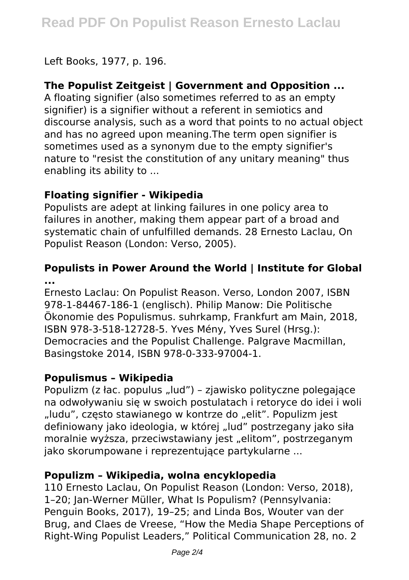Left Books, 1977, p. 196.

# **The Populist Zeitgeist | Government and Opposition ...**

A floating signifier (also sometimes referred to as an empty signifier) is a signifier without a referent in semiotics and discourse analysis, such as a word that points to no actual object and has no agreed upon meaning.The term open signifier is sometimes used as a synonym due to the empty signifier's nature to "resist the constitution of any unitary meaning" thus enabling its ability to ...

## **Floating signifier - Wikipedia**

Populists are adept at linking failures in one policy area to failures in another, making them appear part of a broad and systematic chain of unfulfilled demands. 28 Ernesto Laclau, On Populist Reason (London: Verso, 2005).

#### **Populists in Power Around the World | Institute for Global ...**

Ernesto Laclau: On Populist Reason. Verso, London 2007, ISBN 978-1-84467-186-1 (englisch). Philip Manow: Die Politische Ökonomie des Populismus. suhrkamp, Frankfurt am Main, 2018, ISBN 978-3-518-12728-5. Yves Mény, Yves Surel (Hrsg.): Democracies and the Populist Challenge. Palgrave Macmillan, Basingstoke 2014, ISBN 978-0-333-97004-1.

## **Populismus – Wikipedia**

Populizm (z łac. populus "lud") – zjawisko polityczne polegające na odwoływaniu się w swoich postulatach i retoryce do idei i woli "ludu", często stawianego w kontrze do "elit". Populizm jest definiowany jako ideologia, w której "lud" postrzegany jako siła moralnie wyższa, przeciwstawiany jest "elitom", postrzeganym jako skorumpowane i reprezentujące partykularne ...

## **Populizm – Wikipedia, wolna encyklopedia**

110 Ernesto Laclau, On Populist Reason (London: Verso, 2018), 1–20; Jan-Werner Müller, What Is Populism? (Pennsylvania: Penguin Books, 2017), 19–25; and Linda Bos, Wouter van der Brug, and Claes de Vreese, "How the Media Shape Perceptions of Right-Wing Populist Leaders," Political Communication 28, no. 2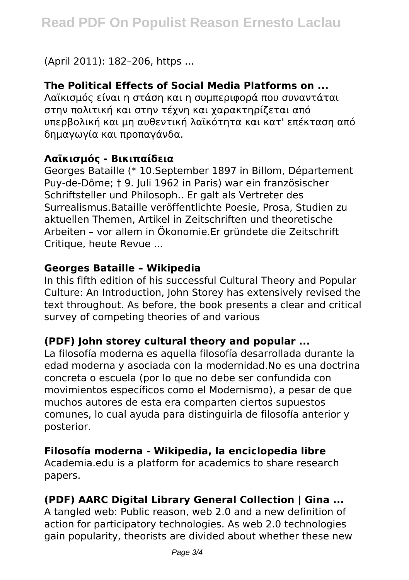(April 2011): 182–206, https ...

# **The Political Effects of Social Media Platforms on ...**

Λαϊκισμός είναι η στάση και η συμπεριφορά που συναντάται στην πολιτική και στην τέχνη και χαρακτηρίζεται από υπερβολική και μη αυθεντική λαϊκότητα και κατ' επέκταση από δημαγωγία και προπαγάνδα.

## **Λαϊκισμός - Βικιπαίδεια**

Georges Bataille (\* 10.September 1897 in Billom, Département Puy-de-Dôme; † 9. Juli 1962 in Paris) war ein französischer Schriftsteller und Philosoph.. Er galt als Vertreter des Surrealismus.Bataille veröffentlichte Poesie, Prosa, Studien zu aktuellen Themen, Artikel in Zeitschriften und theoretische Arbeiten – vor allem in Ökonomie.Er gründete die Zeitschrift Critique, heute Revue ...

#### **Georges Bataille – Wikipedia**

In this fifth edition of his successful Cultural Theory and Popular Culture: An Introduction, John Storey has extensively revised the text throughout. As before, the book presents a clear and critical survey of competing theories of and various

## **(PDF) John storey cultural theory and popular ...**

La filosofía moderna es aquella filosofía desarrollada durante la edad moderna y asociada con la modernidad.No es una doctrina concreta o escuela (por lo que no debe ser confundida con movimientos específicos como el Modernismo), a pesar de que muchos autores de esta era comparten ciertos supuestos comunes, lo cual ayuda para distinguirla de filosofía anterior y posterior.

## **Filosofía moderna - Wikipedia, la enciclopedia libre**

Academia.edu is a platform for academics to share research papers.

## **(PDF) AARC Digital Library General Collection | Gina ...**

A tangled web: Public reason, web 2.0 and a new definition of action for participatory technologies. As web 2.0 technologies gain popularity, theorists are divided about whether these new